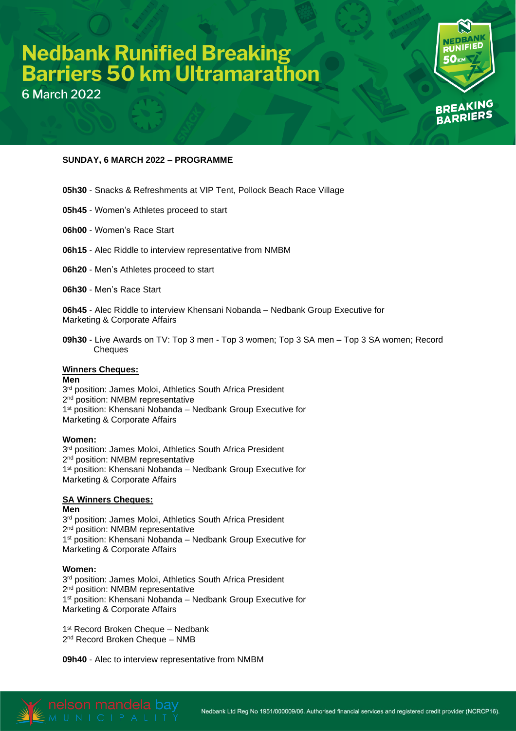# **Nedbank Runified Breaking<br>Barriers 50 km Ultramarathon**

**6 March 2022** 



## **SUNDAY, 6 MARCH 2022 – PROGRAMME**

- **05h30** Snacks & Refreshments at VIP Tent, Pollock Beach Race Village
- **05h45** Women's Athletes proceed to start
- **06h00** Women's Race Start
- **06h15** Alec Riddle to interview representative from NMBM
- **06h20** Men's Athletes proceed to start
- **06h30** Men's Race Start

**06h45** - Alec Riddle to interview Khensani Nobanda – Nedbank Group Executive for Marketing & Corporate Affairs

**09h30** - Live Awards on TV: Top 3 men - Top 3 women; Top 3 SA men – Top 3 SA women; Record **Cheques** 

### **Winners Cheques:**

### **Men**

3<sup>rd</sup> position: James Moloi, Athletics South Africa President 2<sup>nd</sup> position: NMBM representative 1 st position: Khensani Nobanda – Nedbank Group Executive for Marketing & Corporate Affairs

### **Women:**

3<sup>rd</sup> position: James Moloi, Athletics South Africa President 2<sup>nd</sup> position: NMBM representative 1 st position: Khensani Nobanda – Nedbank Group Executive for Marketing & Corporate Affairs

# **SA Winners Cheques:**

**Men** 3 rd position: James Moloi, Athletics South Africa President 2<sup>nd</sup> position: NMBM representative 1<sup>st</sup> position: Khensani Nobanda – Nedbank Group Executive for Marketing & Corporate Affairs

### **Women:**

3<sup>rd</sup> position: James Moloi, Athletics South Africa President 2<sup>nd</sup> position: NMBM representative 1<sup>st</sup> position: Khensani Nobanda – Nedbank Group Executive for Marketing & Corporate Affairs

1<sup>st</sup> Record Broken Cheque - Nedbank 2<sup>nd</sup> Record Broken Cheque - NMB

**09h40** - Alec to interview representative from NMBM